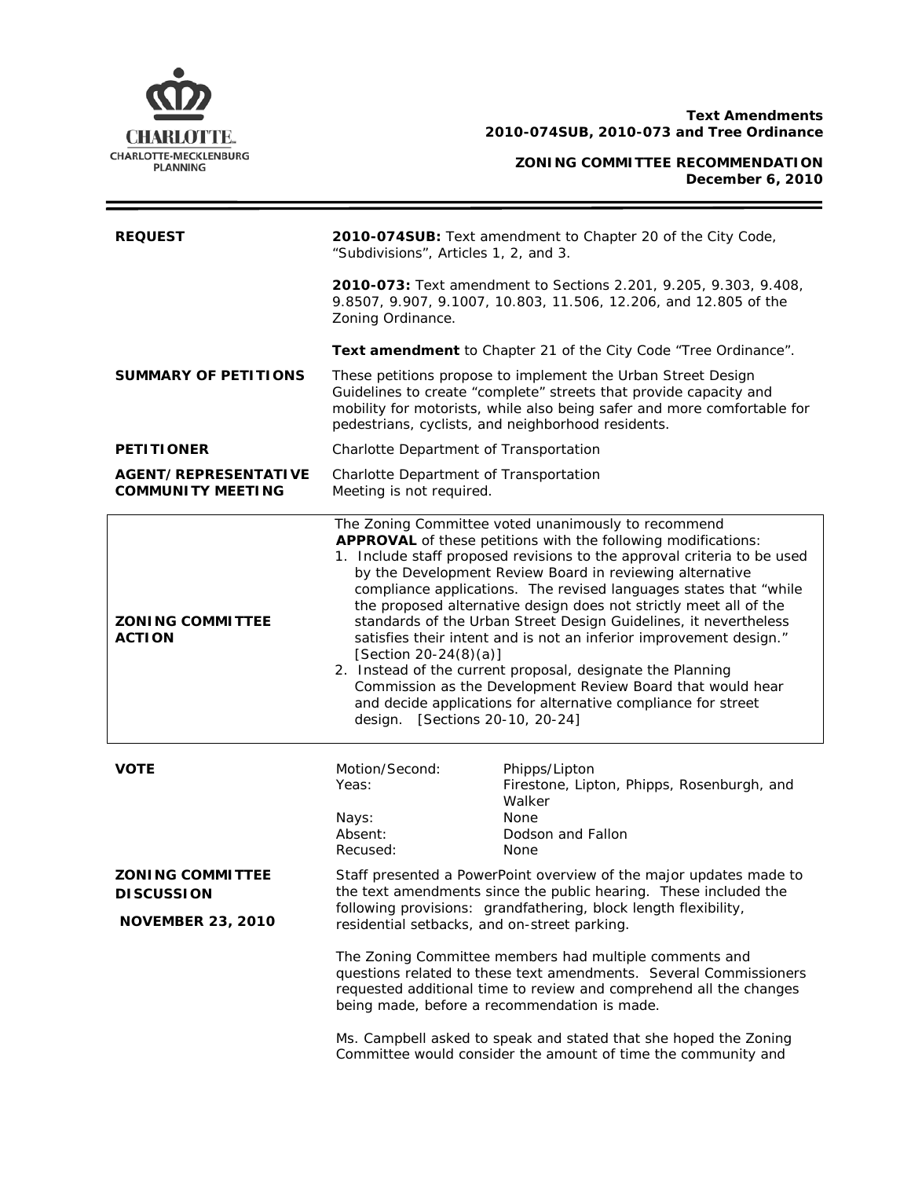**Text Amendments** 

# **2010-074SUB, 2010-073 and Tree Ordinance**

**ZONING COMMITTEE RECOMMENDATION December 6, 2010**

 $\equiv$ 

| <b>REQUEST</b>                                                           | 2010-074SUB: Text amendment to Chapter 20 of the City Code,<br>"Subdivisions", Articles 1, 2, and 3.                                                                                                                                                                                                                                                                                                                                                                                                                                                                                                                                                                                                                                                                                                         |                                                                                                                                      |
|--------------------------------------------------------------------------|--------------------------------------------------------------------------------------------------------------------------------------------------------------------------------------------------------------------------------------------------------------------------------------------------------------------------------------------------------------------------------------------------------------------------------------------------------------------------------------------------------------------------------------------------------------------------------------------------------------------------------------------------------------------------------------------------------------------------------------------------------------------------------------------------------------|--------------------------------------------------------------------------------------------------------------------------------------|
|                                                                          | Zoning Ordinance.                                                                                                                                                                                                                                                                                                                                                                                                                                                                                                                                                                                                                                                                                                                                                                                            | 2010-073: Text amendment to Sections 2.201, 9.205, 9.303, 9.408,<br>9.8507, 9.907, 9.1007, 10.803, 11.506, 12.206, and 12.805 of the |
|                                                                          |                                                                                                                                                                                                                                                                                                                                                                                                                                                                                                                                                                                                                                                                                                                                                                                                              | Text amendment to Chapter 21 of the City Code "Tree Ordinance".                                                                      |
| <b>SUMMARY OF PETITIONS</b>                                              | These petitions propose to implement the Urban Street Design<br>Guidelines to create "complete" streets that provide capacity and<br>mobility for motorists, while also being safer and more comfortable for<br>pedestrians, cyclists, and neighborhood residents.                                                                                                                                                                                                                                                                                                                                                                                                                                                                                                                                           |                                                                                                                                      |
| <b>PETITIONER</b>                                                        | Charlotte Department of Transportation                                                                                                                                                                                                                                                                                                                                                                                                                                                                                                                                                                                                                                                                                                                                                                       |                                                                                                                                      |
| <b>AGENT/REPRESENTATIVE</b><br><b>COMMUNITY MEETING</b>                  | Charlotte Department of Transportation<br>Meeting is not required.                                                                                                                                                                                                                                                                                                                                                                                                                                                                                                                                                                                                                                                                                                                                           |                                                                                                                                      |
| <b>ZONING COMMITTEE</b><br><b>ACTION</b>                                 | The Zoning Committee voted unanimously to recommend<br>APPROVAL of these petitions with the following modifications:<br>1. Include staff proposed revisions to the approval criteria to be used<br>by the Development Review Board in reviewing alternative<br>compliance applications. The revised languages states that "while<br>the proposed alternative design does not strictly meet all of the<br>standards of the Urban Street Design Guidelines, it nevertheless<br>satisfies their intent and is not an inferior improvement design."<br>[Section 20-24 $(8)(a)$ ]<br>2. Instead of the current proposal, designate the Planning<br>Commission as the Development Review Board that would hear<br>and decide applications for alternative compliance for street<br>design. [Sections 20-10, 20-24] |                                                                                                                                      |
| <b>VOTE</b>                                                              | Motion/Second:<br>Yeas:<br>Nays:<br>Absent:<br>Recused:                                                                                                                                                                                                                                                                                                                                                                                                                                                                                                                                                                                                                                                                                                                                                      | Phipps/Lipton<br>Firestone, Lipton, Phipps, Rosenburgh, and<br>Walker<br>None<br>Dodson and Fallon<br>None                           |
| <b>ZONING COMMITTEE</b><br><b>DISCUSSION</b><br><b>NOVEMBER 23, 2010</b> | Staff presented a PowerPoint overview of the major updates made to<br>the text amendments since the public hearing. These included the<br>following provisions: grandfathering, block length flexibility,<br>residential setbacks, and on-street parking.<br>The Zoning Committee members had multiple comments and<br>questions related to these text amendments. Several Commissioners<br>requested additional time to review and comprehend all the changes<br>being made, before a recommendation is made.                                                                                                                                                                                                                                                                                               |                                                                                                                                      |
|                                                                          |                                                                                                                                                                                                                                                                                                                                                                                                                                                                                                                                                                                                                                                                                                                                                                                                              | Ms. Campbell asked to speak and stated that she hoped the Zoning<br>Committee would consider the amount of time the community and    |

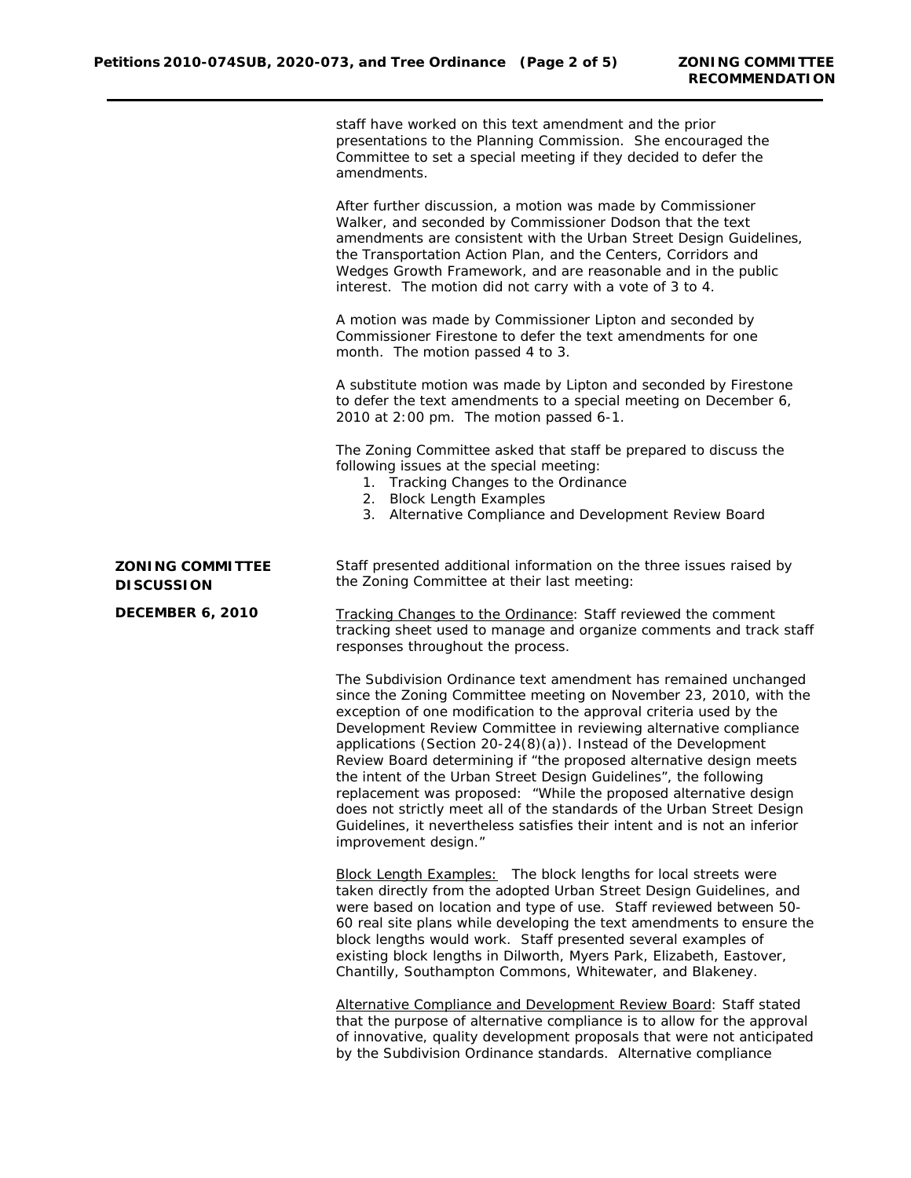|                                              | staff have worked on this text amendment and the prior<br>presentations to the Planning Commission. She encouraged the<br>Committee to set a special meeting if they decided to defer the<br>amendments.                                                                                                                                                                                                                                                                                                                                                                                                                                                                                                                                      |  |
|----------------------------------------------|-----------------------------------------------------------------------------------------------------------------------------------------------------------------------------------------------------------------------------------------------------------------------------------------------------------------------------------------------------------------------------------------------------------------------------------------------------------------------------------------------------------------------------------------------------------------------------------------------------------------------------------------------------------------------------------------------------------------------------------------------|--|
|                                              | After further discussion, a motion was made by Commissioner<br>Walker, and seconded by Commissioner Dodson that the text<br>amendments are consistent with the Urban Street Design Guidelines,<br>the Transportation Action Plan, and the Centers, Corridors and<br>Wedges Growth Framework, and are reasonable and in the public<br>interest. The motion did not carry with a vote of 3 to 4.                                                                                                                                                                                                                                                                                                                                                |  |
|                                              | A motion was made by Commissioner Lipton and seconded by<br>Commissioner Firestone to defer the text amendments for one<br>month. The motion passed 4 to 3.                                                                                                                                                                                                                                                                                                                                                                                                                                                                                                                                                                                   |  |
|                                              | A substitute motion was made by Lipton and seconded by Firestone<br>to defer the text amendments to a special meeting on December 6,<br>2010 at 2:00 pm. The motion passed 6-1.                                                                                                                                                                                                                                                                                                                                                                                                                                                                                                                                                               |  |
|                                              | The Zoning Committee asked that staff be prepared to discuss the<br>following issues at the special meeting:<br>1. Tracking Changes to the Ordinance<br>2. Block Length Examples<br>3. Alternative Compliance and Development Review Board                                                                                                                                                                                                                                                                                                                                                                                                                                                                                                    |  |
| <b>ZONING COMMITTEE</b><br><b>DISCUSSION</b> | Staff presented additional information on the three issues raised by<br>the Zoning Committee at their last meeting:                                                                                                                                                                                                                                                                                                                                                                                                                                                                                                                                                                                                                           |  |
| DECEMBER 6, 2010                             | Tracking Changes to the Ordinance: Staff reviewed the comment<br>tracking sheet used to manage and organize comments and track staff<br>responses throughout the process.                                                                                                                                                                                                                                                                                                                                                                                                                                                                                                                                                                     |  |
|                                              | The Subdivision Ordinance text amendment has remained unchanged<br>since the Zoning Committee meeting on November 23, 2010, with the<br>exception of one modification to the approval criteria used by the<br>Development Review Committee in reviewing alternative compliance<br>applications (Section 20-24(8)(a)). Instead of the Development<br>Review Board determining if "the proposed alternative design meets<br>the intent of the Urban Street Design Guidelines", the following<br>replacement was proposed: "While the proposed alternative design<br>does not strictly meet all of the standards of the Urban Street Design<br>Guidelines, it nevertheless satisfies their intent and is not an inferior<br>improvement design." |  |
|                                              | <b>Block Length Examples:</b> The block lengths for local streets were<br>taken directly from the adopted Urban Street Design Guidelines, and<br>were based on location and type of use. Staff reviewed between 50-<br>60 real site plans while developing the text amendments to ensure the<br>block lengths would work. Staff presented several examples of<br>existing block lengths in Dilworth, Myers Park, Elizabeth, Eastover,<br>Chantilly, Southampton Commons, Whitewater, and Blakeney.                                                                                                                                                                                                                                            |  |
|                                              | Alternative Compliance and Development Review Board: Staff stated<br>that the purpose of alternative compliance is to allow for the approval<br>of innovative, quality development proposals that were not anticipated<br>by the Subdivision Ordinance standards. Alternative compliance                                                                                                                                                                                                                                                                                                                                                                                                                                                      |  |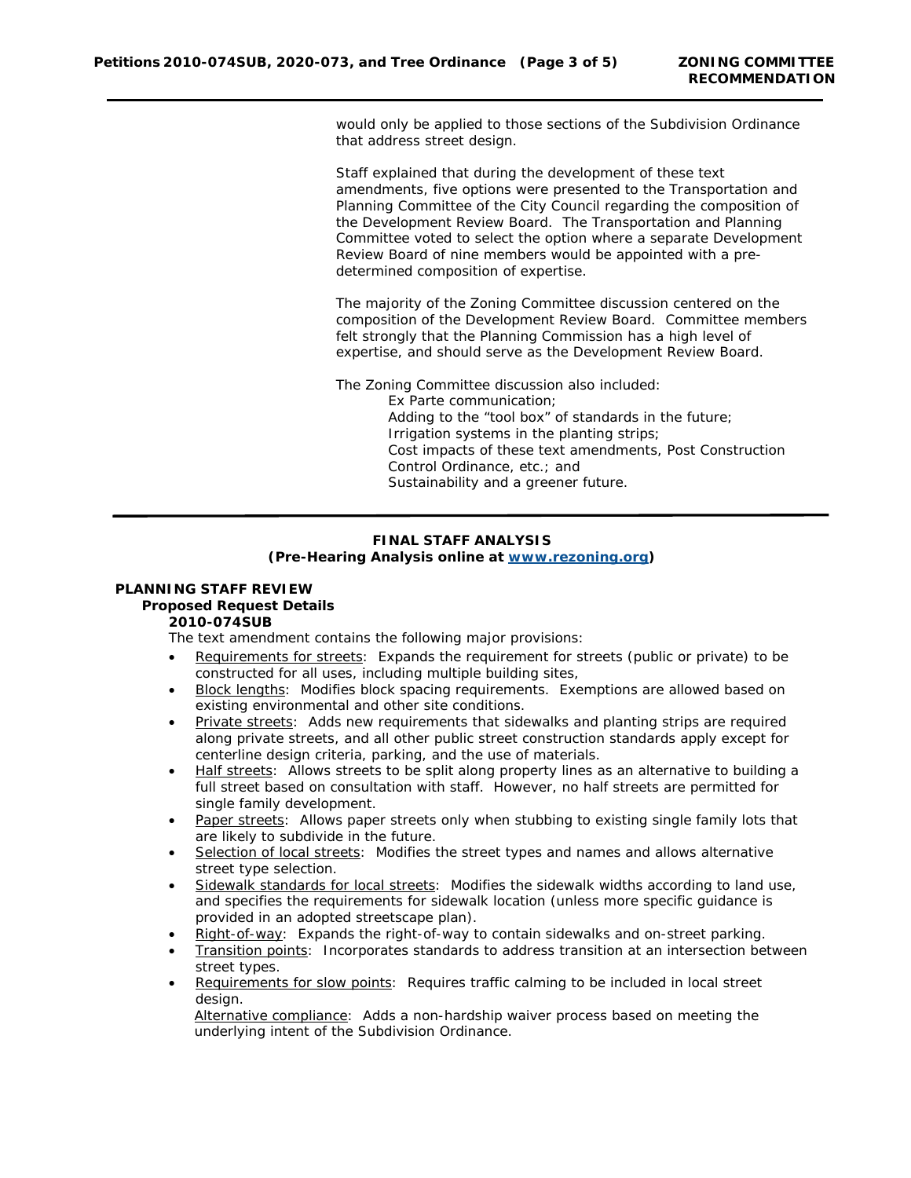would only be applied to those sections of the Subdivision Ordinance that address street design.

Staff explained that during the development of these text amendments, five options were presented to the Transportation and Planning Committee of the City Council regarding the composition of the Development Review Board. The Transportation and Planning Committee voted to select the option where a separate Development Review Board of nine members would be appointed with a predetermined composition of expertise.

The majority of the Zoning Committee discussion centered on the composition of the Development Review Board. Committee members felt strongly that the Planning Commission has a high level of expertise, and should serve as the Development Review Board.

The Zoning Committee discussion also included: Ex Parte communication; Adding to the "tool box" of standards in the future; Irrigation systems in the planting strips; Cost impacts of these text amendments, Post Construction Control Ordinance, etc.; and Sustainability and a greener future.

### **FINAL STAFF ANALYSIS (Pre-Hearing Analysis online at www.rezoning.org)**

#### **PLANNING STAFF REVIEW Proposed Request Details**

Ϊ

# **2010-074SUB**

The text amendment contains the following major provisions:

- Requirements for streets: Expands the requirement for streets (public or private) to be constructed for all uses, including multiple building sites,
- Block lengths: Modifies block spacing requirements. Exemptions are allowed based on existing environmental and other site conditions.
- Private streets: Adds new requirements that sidewalks and planting strips are required along private streets, and all other public street construction standards apply except for centerline design criteria, parking, and the use of materials.
- Half streets: Allows streets to be split along property lines as an alternative to building a full street based on consultation with staff. However, no half streets are permitted for single family development.
- Paper streets: Allows paper streets only when stubbing to existing single family lots that are likely to subdivide in the future.
- Selection of local streets: Modifies the street types and names and allows alternative street type selection.
- Sidewalk standards for local streets: Modifies the sidewalk widths according to land use, and specifies the requirements for sidewalk location (unless more specific guidance is provided in an adopted streetscape plan).
- Right-of-way: Expands the right-of-way to contain sidewalks and on-street parking.
- Transition points: Incorporates standards to address transition at an intersection between street types.
- Requirements for slow points: Requires traffic calming to be included in local street design.

Alternative compliance: Adds a non-hardship waiver process based on meeting the underlying intent of the Subdivision Ordinance.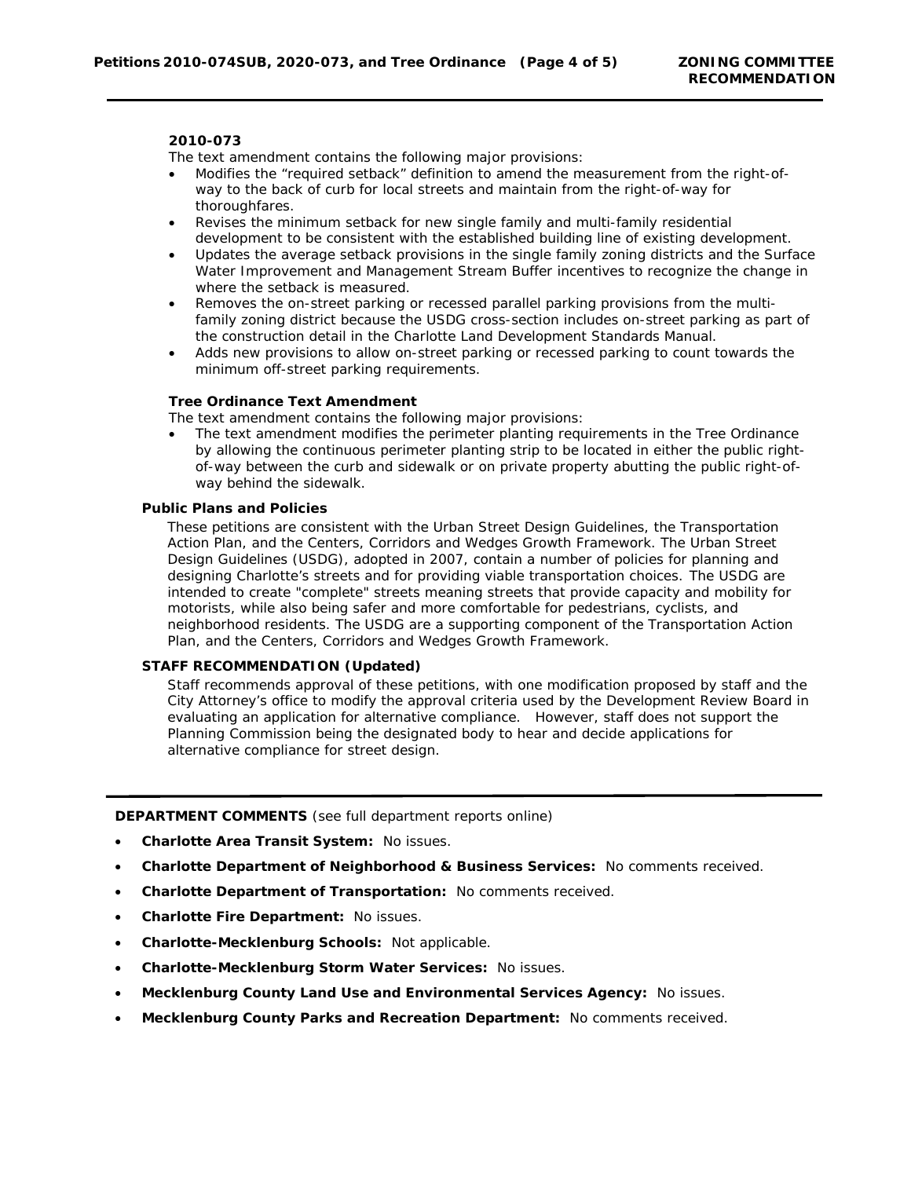#### **2010-073**

Ϊ

The text amendment contains the following major provisions:

- Modifies the "required setback" definition to amend the measurement from the right-ofway to the back of curb for local streets and maintain from the right-of-way for thoroughfares.
- Revises the minimum setback for new single family and multi-family residential development to be consistent with the established building line of existing development.
- Updates the average setback provisions in the single family zoning districts and the Surface Water Improvement and Management Stream Buffer incentives to recognize the change in where the setback is measured.
- Removes the on-street parking or recessed parallel parking provisions from the multifamily zoning district because the *USDG* cross-section includes on-street parking as part of the construction detail in the *Charlotte Land Development Standards Manual*.
- Adds new provisions to allow on-street parking or recessed parking to count towards the minimum off-street parking requirements.

#### **Tree Ordinance Text Amendment**

The text amendment contains the following major provisions:

The text amendment modifies the perimeter planting requirements in the Tree Ordinance by allowing the continuous perimeter planting strip to be located in either the public rightof-way between the curb and sidewalk or on private property abutting the public right-ofway behind the sidewalk.

# **Public Plans and Policies**

These petitions are consistent with the *Urban Street Design Guidelines*, the *Transportation Action Plan*, and the *Centers, Corridors and Wedges Growth Framework*. The *Urban Street Design Guidelines (USDG*), adopted in 2007, contain a number of policies for planning and designing Charlotte's streets and for providing viable transportation choices. The *USDG* are intended to create "complete" streets meaning streets that provide capacity and mobility for motorists, while also being safer and more comfortable for pedestrians, cyclists, and neighborhood residents. The *USDG* are a supporting component of the *Transportation Action Plan*, and the *Centers, Corridors and Wedges Growth Framework*.

#### **STAFF RECOMMENDATION (Updated)**

Staff recommends approval of these petitions, with one modification proposed by staff and the City Attorney's office to modify the approval criteria used by the Development Review Board in evaluating an application for alternative compliance. However, staff does not support the Planning Commission being the designated body to hear and decide applications for alternative compliance for street design.

**DEPARTMENT COMMENTS** (see full department reports online)

- **Charlotte Area Transit System:** No issues.
- **Charlotte Department of Neighborhood & Business Services:** No comments received.
- **Charlotte Department of Transportation:** No comments received.
- **Charlotte Fire Department:** No issues.
- **Charlotte-Mecklenburg Schools:** Not applicable.
- **Charlotte-Mecklenburg Storm Water Services:** No issues.
- **Mecklenburg County Land Use and Environmental Services Agency:** No issues.
- **Mecklenburg County Parks and Recreation Department:** No comments received.